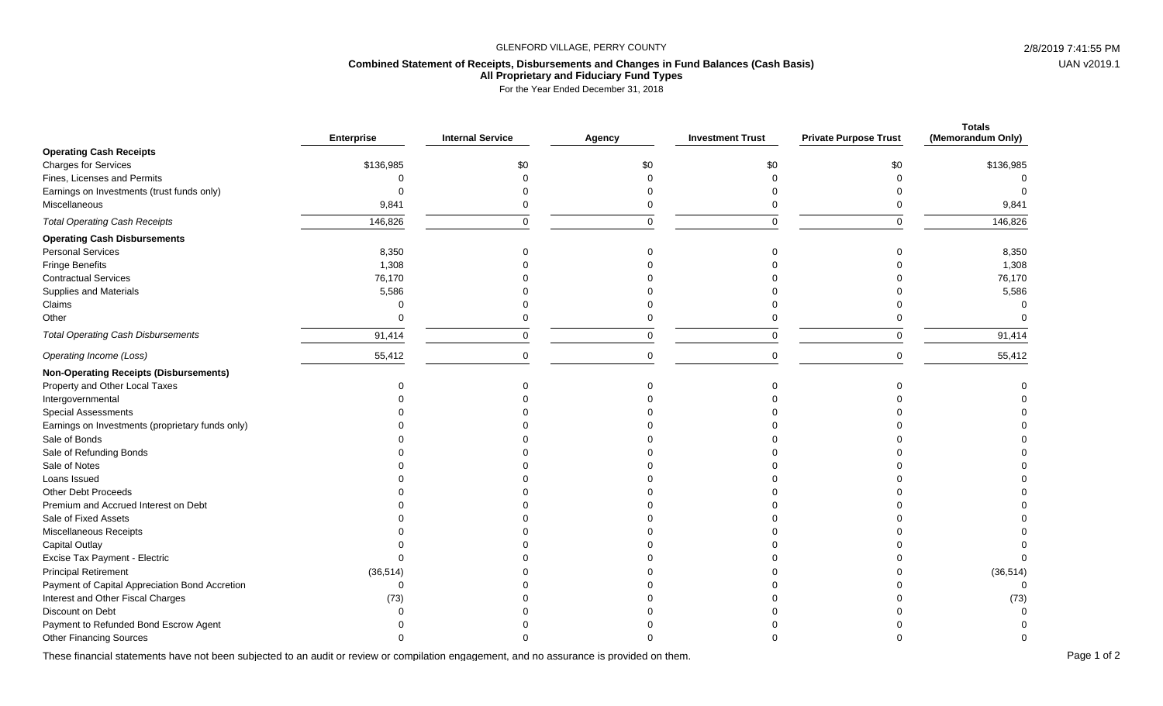## GLENFORD VILLAGE, PERRY COUNTY 2/8/2019 7:41:55 PM

## **Combined Statement of Receipts, Disbursements and Changes in Fund Balances (Cash Basis)**

**All Proprietary and Fiduciary Fund Types**

For the Year Ended December 31, 2018

|                                                  | <b>Enterprise</b> | <b>Internal Service</b> | Agency | <b>Investment Trust</b> | <b>Private Purpose Trust</b> | <b>Totals</b><br>(Memorandum Only) |
|--------------------------------------------------|-------------------|-------------------------|--------|-------------------------|------------------------------|------------------------------------|
| <b>Operating Cash Receipts</b>                   |                   |                         |        |                         |                              |                                    |
| <b>Charges for Services</b>                      | \$136,985         | \$0                     | \$0    | \$0                     | \$0                          | \$136,985                          |
| Fines, Licenses and Permits                      | ∩                 |                         |        |                         |                              |                                    |
| Earnings on Investments (trust funds only)       | $\Omega$          |                         |        |                         |                              |                                    |
| Miscellaneous                                    | 9,841             |                         |        |                         |                              | 9,841                              |
| <b>Total Operating Cash Receipts</b>             | 146,826           | $\mathbf 0$             |        | $\Omega$                | $\mathbf 0$                  | 146,826                            |
| <b>Operating Cash Disbursements</b>              |                   |                         |        |                         |                              |                                    |
| <b>Personal Services</b>                         | 8,350             |                         |        | ∩                       |                              | 8,350                              |
| Fringe Benefits                                  | 1,308             |                         |        |                         |                              | 1,308                              |
| <b>Contractual Services</b>                      | 76,170            |                         |        |                         |                              | 76,170                             |
| Supplies and Materials                           | 5,586             |                         |        |                         |                              | 5,586                              |
| Claims                                           | $\Omega$          |                         |        |                         |                              |                                    |
| Other                                            | $\Omega$          | 0                       |        |                         |                              |                                    |
| <b>Total Operating Cash Disbursements</b>        | 91,414            | $\mathbf 0$             |        | $\Omega$                | $\mathbf 0$                  | 91,414                             |
| Operating Income (Loss)                          | 55,412            | $\mathbf 0$             |        | ∩                       | $\Omega$                     | 55,412                             |
| <b>Non-Operating Receipts (Disbursements)</b>    |                   |                         |        |                         |                              |                                    |
| Property and Other Local Taxes                   |                   |                         |        |                         |                              |                                    |
| Intergovernmental                                |                   |                         |        |                         |                              |                                    |
| <b>Special Assessments</b>                       |                   |                         |        |                         |                              |                                    |
| Earnings on Investments (proprietary funds only) |                   |                         |        |                         |                              |                                    |
| Sale of Bonds                                    |                   |                         |        |                         |                              |                                    |
| Sale of Refunding Bonds                          |                   |                         |        |                         |                              |                                    |
| Sale of Notes                                    |                   |                         |        |                         |                              |                                    |
| Loans Issued                                     |                   |                         |        |                         |                              |                                    |
| Other Debt Proceeds                              |                   |                         |        |                         |                              |                                    |
| Premium and Accrued Interest on Debt             |                   |                         |        |                         |                              |                                    |
| Sale of Fixed Assets                             |                   |                         |        |                         |                              |                                    |
| Miscellaneous Receipts                           |                   |                         |        |                         |                              |                                    |
| Capital Outlay                                   |                   |                         |        |                         |                              |                                    |
| Excise Tax Payment - Electric                    | $\Omega$          |                         |        |                         |                              | $\Omega$                           |
| <b>Principal Retirement</b>                      | (36, 514)         |                         |        |                         |                              | (36, 514)                          |
| Payment of Capital Appreciation Bond Accretion   | $\Omega$          |                         |        |                         |                              |                                    |
| Interest and Other Fiscal Charges                | (73)              |                         |        |                         |                              | (73)                               |
| Discount on Debt                                 |                   |                         |        |                         |                              |                                    |
| Payment to Refunded Bond Escrow Agent            |                   |                         |        |                         |                              |                                    |
| <b>Other Financing Sources</b>                   |                   |                         |        |                         |                              |                                    |

These financial statements have not been subjected to an audit or review or compilation engagement, and no assurance is provided on them.